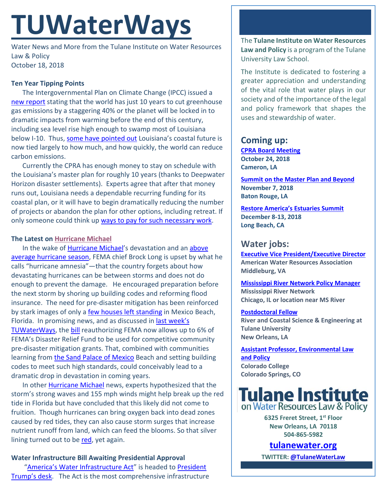# **TUWaterWays**

Water News and More from the Tulane Institute on Water Resources Law & Policy October 18, 2018

### **Ten Year Tipping Points**

The Intergovernmental Plan on Climate Change (IPCC) issued a [new report](http://www.ipcc.ch/report/sr15/) stating that the world has just 10 years to cut greenhouse gas emissions by a staggering 40% or the planet will be locked in to dramatic impacts from warming before the end of this century, including sea level rise high enough to swamp most of Louisiana below I-10. Thus, [some have pointed out](https://www.nola.com/opinions/index.ssf/2018/10/emissions_coastal_erosion_1.html) Louisiana's coastal future is now tied largely to how much, and how quickly, the world can reduce carbon emissions.

Currently the CPRA has enough money to stay on schedule with the Louisiana's master plan for roughly 10 years (thanks to Deepwater Horizon disaster settlements). Experts agree that after that money runs out, Louisiana needs a dependable recurring funding for its coastal plan, or it will have to begin dramatically reducing the number of projects or abandon the plan for other options, including retreat. If only someone could think up ways [to pay for such necessary work.](http://docs.wixstatic.com/ugd/32079b_333bc8956d9d4d56ae8b76253c8270ef.pdf)

#### **The Latest on [Hurricane Michael](https://i.imgflip.com/2k00qg.jpg)**

In the wake of [Hurricane Michael'](https://i.kym-cdn.com/photos/images/newsfeed/001/419/280/a17.png)s devastation and an [above](https://www.nola.com/weather/index.ssf/2018/10/2018_hurricane_season_sees_abo.html)  [average hurricane season,](https://www.nola.com/weather/index.ssf/2018/10/2018_hurricane_season_sees_abo.html) FEMA chief Brock Long is upset by what he calls "hurricane amnesia"—that the country forgets about how devastating hurricanes can be between storms and does not do enough to prevent the damage. He encouraged preparation before the next storm by shoring up building codes and reforming flood insurance. The need for pre-disaster mitigation has been reinforced by stark images of only a [few houses left standing](https://www.cnn.com/videos/us/2018/10/16/house-survives-hurricane-michael-homeowners-response-sot-newday-vpx.cnn) in Mexico Beach, Florida. In promising news, and as discussed in [last week's](http://docs.wixstatic.com/ugd/32079b_374fcb52695c42c6a34c892c99c1de44.pdf)  [TUWaterWays,](http://docs.wixstatic.com/ugd/32079b_374fcb52695c42c6a34c892c99c1de44.pdf) the [bill](https://docs.house.gov/billsthisweek/20180924/HR302-2.pdf) reauthorizing FEMA now allows up to 6% of FEMA's Disaster Relief Fund to be used for competitive community pre-disaster mitigation grants. That, combined with communities learning from [the Sand Palace of Mexico](https://www.nytimes.com/2018/10/14/us/hurricane-michael-florida-mexico-beach-house.html) Beach and setting building codes to meet such high standards, could conceivably lead to a dramatic drop in devastation in coming years.

In other [Hurricane Michael](https://i.kym-cdn.com/photos/images/original/001/419/282/94d.png) news, experts hypothesized that the storm's strong waves and 155 mph winds might help break up the red tide in Florida but have concluded that this likely did not come to fruition. Though hurricanes can bring oxygen back into dead zones caused by red tides, they can also cause storm surges that increase nutrient runoff from land, which can feed the blooms. So that silver lining turned out to be [red,](https://media.graytvinc.com/images/810*455/1280x720_60909B00-MHXQN.png) yet again.

# **Water Infrastructure Bill Awaiting Presidential Approval**

["America's Water Infrastructure Act"](https://www.congress.gov/115/bills/s3021/BILLS-115s3021eah.pdf) is headed to President [Trump's desk.](https://www.youtube.com/watch?v=4sO5-t3iEYY) The Act is the most comprehensive infrastructure The **Tulane Institute on Water Resources Law and Policy** is a program of the Tulane University Law School.

The Institute is dedicated to fostering a greater appreciation and understanding of the vital role that water plays in our society and of the importance of the legal and policy framework that shapes the uses and stewardship of water.

# **Coming up:**

**[CPRA Board Meeting](http://coastal.la.gov/calendar/) October 24, 2018 Cameron, LA**

**[Summit on the Master Plan and Beyond](https://www.americaswetland.com/event/a-summit-on-the-master-plan-and-beyond/) November 7, 2018 Baton Rouge, LA**

**[Restore America's Estuaries Summit](https://www.estuaries.org/2018-summit-general-info) December 8-13, 2018 Long Beach, CA**

# **Water jobs:**

**[Executive Vice President/Executive Director](https://careerhq.asaecenter.org/jobs/11460403/executive-vice-president-executive-director) American Water Resources Association Middleburg, VA**

**[Mississippi River Network Policy Manager](https://www.idealist.org/en/nonprofit-job/b9a7d780cf8a4b1a834479d85f47638f-mississippi-river-network-policy-manager-mississippi-river-network-chicago) Mississippi River Network Chicago, IL or location near MS River**

#### **[Postdoctoral Fellow](https://jobs.nola.com/Job/53600891/research-associate-job-in-new-orleans-la?source=1)**

**River and Coastal Science & Engineering at Tulane University New Orleans, LA**

**[Assistant Professor, Environmental Law](https://employment.coloradocollege.edu/postings/3477)  [and Policy](https://employment.coloradocollege.edu/postings/3477) Colorado College Colorado Springs, CO**



**6325 Freret Street, 1st Floor New Orleans, LA 70118 504-865-5982** 

**tulanewater.org**

**TWITTER[: @TulaneWaterLaw](http://www.twitter.com/TulaneWaterLaw)**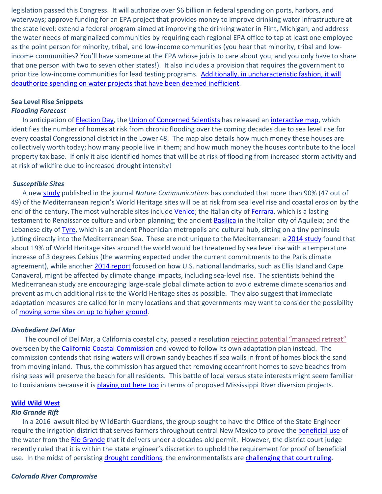legislation passed this Congress. It will authorize over \$6 billion in federal spending on ports, harbors, and waterways; approve funding for an EPA project that provides money to improve drinking water infrastructure at the state level; extend a federal program aimed at improving the drinking water in Flint, Michigan; and address the water needs of marginalized communities by requiring each regional EPA office to tap at least one employee as the point person for minority, tribal, and low-income communities (you hear that minority, tribal and lowincome communities? You'll have someone at the EPA whose job is to care about you, and you only have to share that one person with two to seven other states!). It also includes a provision that requires the government to prioritize low-income communities for lead testing programs. [Additionally, in uncharacteristic fashion,](https://media.makeameme.org/created/inefficient-this-is.jpg) it will [deauthorize spending on water projects that have been deemed inefficient.](https://media.makeameme.org/created/inefficient-this-is.jpg)

#### **Sea Level Rise Snippets** *Flooding Forecast*

In anticipation of [Election Day,](http://www.quickmeme.com/img/20/204e840441cbe3be643466215008e45b99aa327fc378484b620f30151fd3fbee.jpg) the [Union of Concerned Scientists](https://www.ucsusa.org/about-us#.W8dSBWhKgdU) has released an [interactive map,](https://ucsusa.maps.arcgis.com/apps/MapJournal/index.html?appid=b53e9dd7a85a44488466e1a38de87601) which identifies the number of homes at risk from chronic flooding over the coming decades due to sea level rise for every coastal Congressional district in the Lower 48. The map also details how much money these houses are collectively worth today; how many people live in them; and how much money the houses contribute to the local property tax base. If only it also identified homes that will be at risk of flooding from increased storm activity and at risk of wildfire due to increased drought intensity!

# *Susceptible Sites*

A new [study](https://www.nature.com/articles/s41467-018-06645-9) published in the journal *Nature Communications* has concluded that more than 90% (47 out of 49) of the Mediterranean region's World Heritage sites will be at risk from sea level rise and coastal erosion by the end of the century. The most vulnerable sites include [Venice;](https://www.cbsnews.com/news/rewind-parting-the-sea-with-venice-project-moses-60-minutes-flooding/) the Italian city of [Ferrara,](http://www.ferraraterraeacqua.it/en/news/10-reasons-to-visit-ferrara) which is a lasting testament to Renaissance culture and urban planning; the ancient [Basilica](http://www.basilicadiaquileia.it/en/basilica) in the Italian city of Aquileia; and the Lebanese city of [Tyre,](https://whc.unesco.org/en/list/299) which is an ancient Phoenician metropolis and cultural hub, sitting on a tiny peninsula jutting directly into the Mediterranean Sea. These are not unique to the Mediterranean: a [2014 study](http://iopscience.iop.org/article/10.1088/1748-9326/9/3/034001) found that about 19% of World Heritage sites around the world would be threatened by sea level rise with a temperature increase of 3 degrees Celsius (the warming expected under the current commitments to the Paris climate agreement), while another [2014 report](https://www.ucsusa.org/global_warming/science_and_impacts/impacts/national-landmarks-at-risk-from-climate-change.html#.W8d-s2hKgdV) focused on how U.S. national landmarks, such as Ellis Island and Cape Canaveral, might be affected by climate change impacts, including sea-level rise. The scientists behind the Mediterranean study are encouraging large-scale global climate action to avoid extreme climate scenarios and prevent as much additional risk to the World Heritage sites as possible. They also suggest that immediate adaptation measures are called for in many locations and that governments may want to consider the possibility o[f moving some sites on up to higher ground.](https://www.youtube.com/watch?v=L09qnRfZY-k)

## *Disobedient Del Mar*

 The council of Del Mar, a California coastal city, passed a resolution [rejecting potential "managed retreat"](https://www.eenews.net/climatewire/2018/10/17/stories/1060103499) overseen by the [California Coastal Commission](https://en.wikipedia.org/wiki/California_Coastal_Commission) and vowed to follow its own adaptation plan instead. The commission contends that rising waters will drown sandy beaches if sea walls in front of homes block the sand from moving inland. Thus, the commission has argued that removing oceanfront homes to save beaches from rising seas will preserve the beach for all residents. This battle of local versus state interests might seem familiar to Louisianians because it i[s playing out here too](https://www.theadvocate.com/new_orleans/news/environment/article_b4f3c592-5d3f-11e8-b286-0fb5aa7c854d.html) in terms of proposed Mississippi River diversion projects.

## **[Wild Wild West](https://www.youtube.com/watch?v=_zXKtfKnfT8)**

#### *Rio Grande Rift*

In a 2016 lawsuit filed by WildEarth Guardians, the group sought to have the Office of the State Engineer require the irrigation district that serves farmers throughout central New Mexico to prove the [beneficial use](https://www.aiche.org/ifs/resources/glossary/isws-water-glossary/beneficial-use-water) of the water from th[e Rio Grande](https://www.youtube.com/watch?v=aL94KYX5V_I) that it delivers under a decades-old permit. However, the district court judge recently ruled that it is within the state engineer's discretion to uphold the requirement for proof of beneficial use. In the midst of persisting [drought conditions,](https://droughtmonitor.unl.edu/CurrentMap.aspx) the environmentalists are [challenging that court ruling.](https://www.eenews.net/greenwire/2018/10/12/stories/1060102433)

#### *Colorado River Compromise*